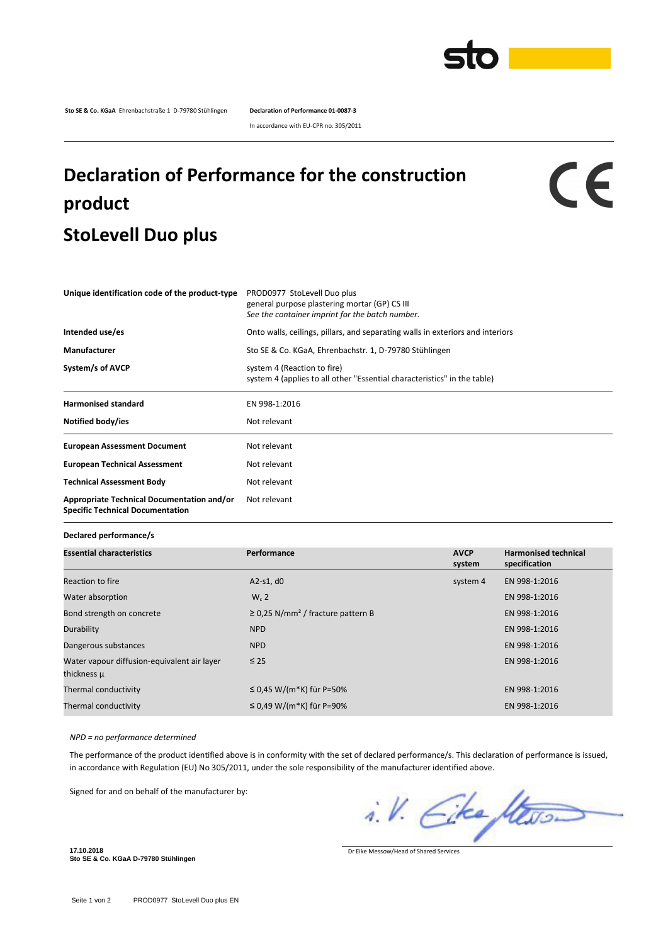

**Sto SE & Co. KGaA** Ehrenbachstraße 1 D-79780 Stühlingen **Declaration of Performance 01-0087-3**

In accordance with EU-CPR no. 305/2011

## **Declaration of Performance for the construction product StoLevell Duo plus**

## $c\epsilon$

| Unique identification code of the product-type                                        | PROD0977 StoLevell Duo plus<br>general purpose plastering mortar (GP) CS III<br>See the container imprint for the batch number. |
|---------------------------------------------------------------------------------------|---------------------------------------------------------------------------------------------------------------------------------|
| Intended use/es                                                                       | Onto walls, ceilings, pillars, and separating walls in exteriors and interiors                                                  |
| Manufacturer                                                                          | Sto SE & Co. KGaA, Ehrenbachstr. 1, D-79780 Stühlingen                                                                          |
| System/s of AVCP                                                                      | system 4 (Reaction to fire)<br>system 4 (applies to all other "Essential characteristics" in the table)                         |
| <b>Harmonised standard</b>                                                            | EN 998-1:2016                                                                                                                   |
| Notified body/ies                                                                     | Not relevant                                                                                                                    |
| <b>European Assessment Document</b>                                                   | Not relevant                                                                                                                    |
| <b>European Technical Assessment</b>                                                  | Not relevant                                                                                                                    |
| <b>Technical Assessment Body</b>                                                      | Not relevant                                                                                                                    |
| Appropriate Technical Documentation and/or<br><b>Specific Technical Documentation</b> | Not relevant                                                                                                                    |

## **Declared performance/s**

| <b>Essential characteristics</b>            | Performance                                        | <b>AVCP</b> | <b>Harmonised technical</b> |
|---------------------------------------------|----------------------------------------------------|-------------|-----------------------------|
|                                             |                                                    | system      | specification               |
| Reaction to fire                            | $A2-S1, d0$                                        | system 4    | EN 998-1:2016               |
| Water absorption                            | $W_c$ 2                                            |             | EN 998-1:2016               |
| Bond strength on concrete                   | $\geq$ 0.25 N/mm <sup>2</sup> / fracture pattern B |             | EN 998-1:2016               |
| Durability                                  | <b>NPD</b>                                         |             | EN 998-1:2016               |
| Dangerous substances                        | <b>NPD</b>                                         |             | EN 998-1:2016               |
| Water vapour diffusion-equivalent air layer | $\leq 25$                                          |             | EN 998-1:2016               |
| thickness µ                                 |                                                    |             |                             |
| Thermal conductivity                        | ≤ 0,45 W/(m*K) für P=50%                           |             | EN 998-1:2016               |
| Thermal conductivity                        | ≤ 0,49 W/(m*K) für P=90%                           |             | EN 998-1:2016               |
|                                             |                                                    |             |                             |

*NPD = no performance determined*

The performance of the product identified above is in conformity with the set of declared performance/s. This declaration of performance is issued, in accordance with Regulation (EU) No 305/2011, under the sole responsibility of the manufacturer identified above.

Signed for and on behalf of the manufacturer by:

i.V. Eke Stevo.

Dr Eike Messow/Head of Shared Services

**17.10.2018 Sto SE & Co. KGaA D-79780 Stühlingen**